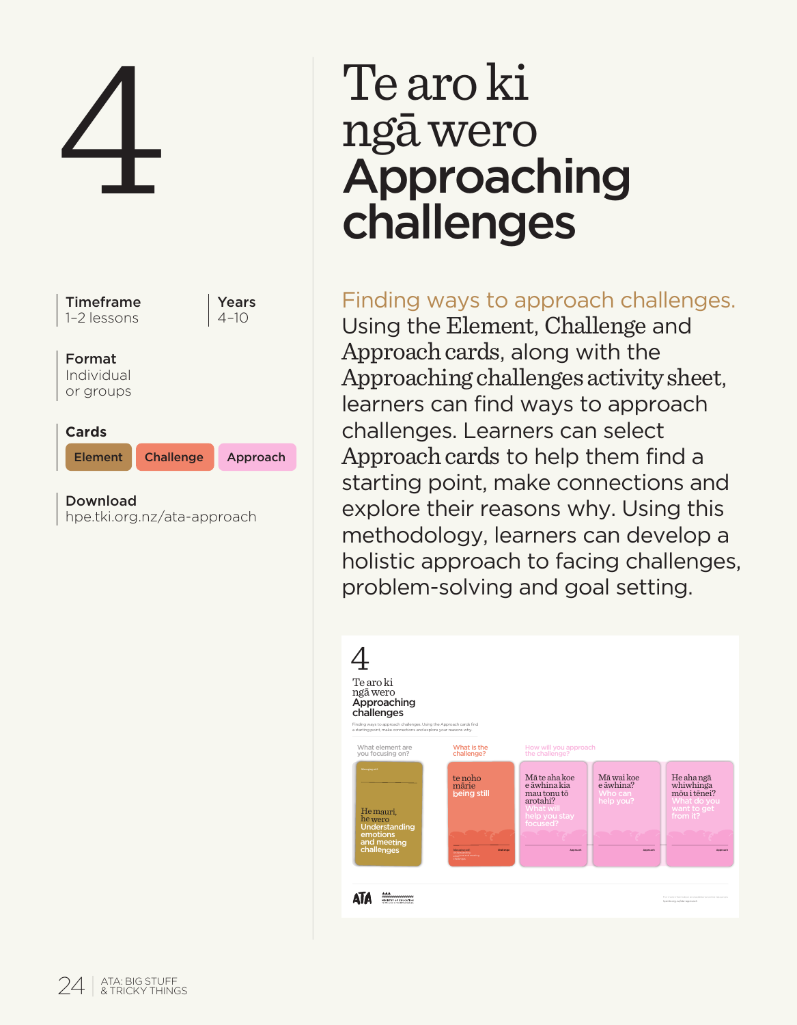

# ngā wero Approaching challenges

# Finding ways to approach challenges.

Using the Element, Challenge and Approach cards, along with the Approaching challenges activity sheet, learners can find ways to approach challenges. Learners can select Approach cards to help them find a starting point, make connections and explore their reasons why. Using this methodology, learners can develop a holistic approach to facing challenges, problem-solving and goal setting.

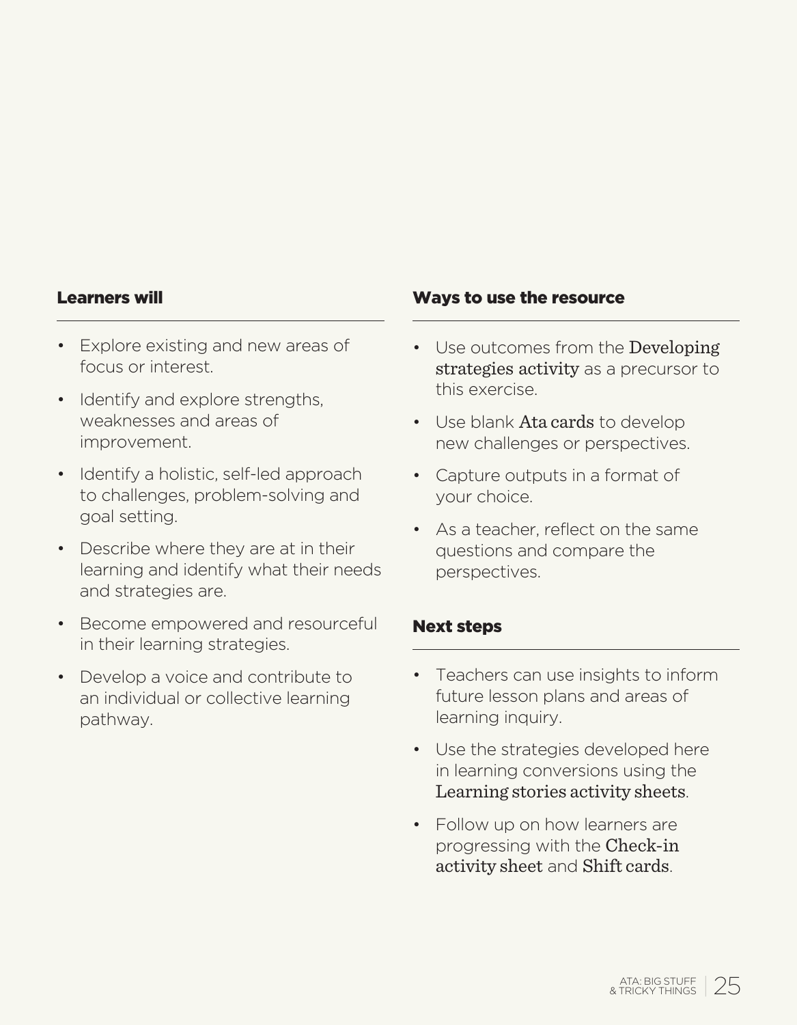#### Learners will

- Explore existing and new areas of focus or interest.
- Identify and explore strengths. weaknesses and areas of improvement.
- Identify a holistic, self-led approach to challenges, problem-solving and goal setting.
- Describe where they are at in their learning and identify what their needs and strategies are.
- Become empowered and resourceful in their learning strategies.
- Develop a voice and contribute to an individual or collective learning pathway.

#### Ways to use the resource

- Use outcomes from the Developing strategies activity as a precursor to this exercise.
- Use blank Ata cards to develop new challenges or perspectives.
- Capture outputs in a format of your choice.
- As a teacher, reflect on the same questions and compare the perspectives.

#### Next steps

- Teachers can use insights to inform future lesson plans and areas of learning inquiry.
- Use the strategies developed here in learning conversions using the Learning stories activity sheets.
- Follow up on how learners are progressing with the Check-in activity sheet and Shift cards.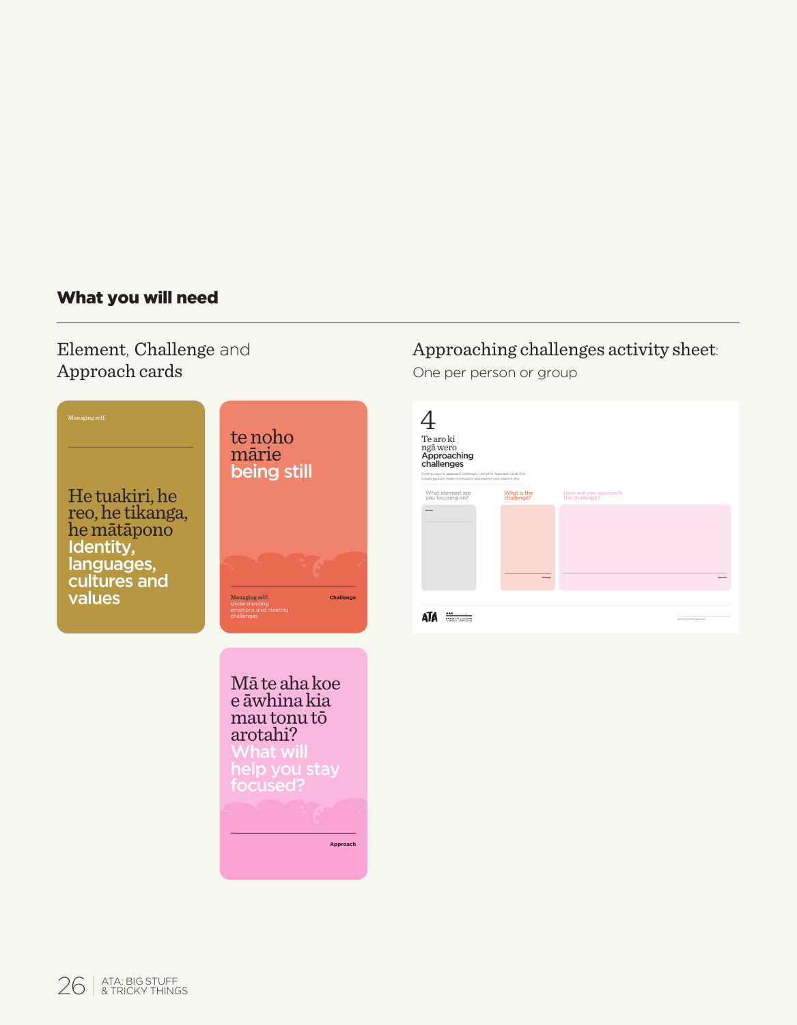## What you will need

Element, Challenge and Approach cards



# Approaching challenges activity sheet:

One per person or group

| Te aro ki                                                                                                                                                                       |                           |                                                              |
|---------------------------------------------------------------------------------------------------------------------------------------------------------------------------------|---------------------------|--------------------------------------------------------------|
| ngā wero<br>Approaching<br>challenges<br>Finding ways to approach challenges, Using the Approach cards find<br>a starting point make connections and existing your reasons why. |                           |                                                              |
| What element are<br>you focusing on?                                                                                                                                            | What is the<br>challenge? | How will you approach<br>the challenge?                      |
| <b>Bullet</b>                                                                                                                                                                   | <b>Florida</b>            | <b>Lamps</b>                                                 |
| <br>----------<br><b>CONTRACTOR</b>                                                                                                                                             |                           | For more information and<br><b>Martin arts for a process</b> |

mau tonu tō arotahi? **Approach**